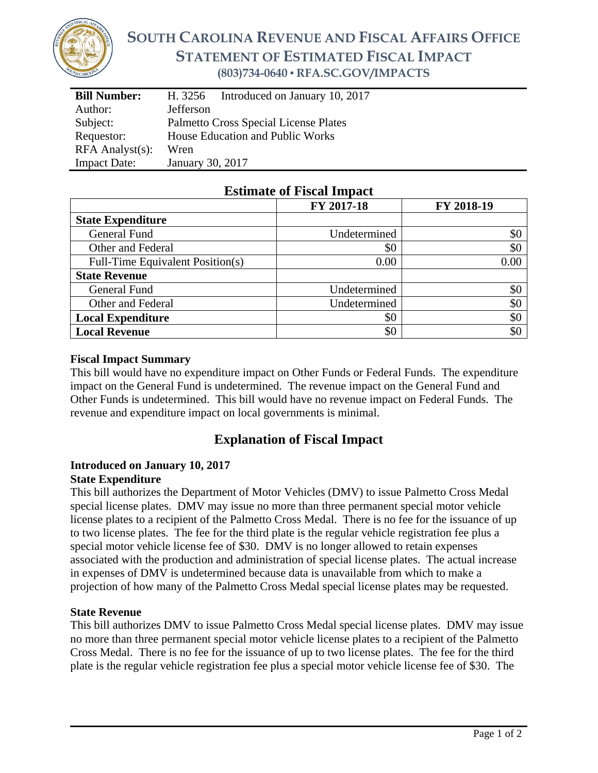

# **SOUTH CAROLINA REVENUE AND FISCAL AFFAIRS OFFICE STATEMENT OF ESTIMATED FISCAL IMPACT (803)734-0640 ▪ RFA.SC.GOV/IMPACTS**

| <b>Bill Number:</b>   | Introduced on January 10, 2017<br>H. 3256 |  |  |
|-----------------------|-------------------------------------------|--|--|
| Author:               | <b>Jefferson</b>                          |  |  |
| Subject:              | Palmetto Cross Special License Plates     |  |  |
| Requestor:            | House Education and Public Works          |  |  |
| $RFA$ Analyst $(s)$ : | Wren                                      |  |  |
| <b>Impact Date:</b>   | January 30, 2017                          |  |  |

### **Estimate of Fiscal Impact**

|                                  | FY 2017-18   | FY 2018-19 |
|----------------------------------|--------------|------------|
| <b>State Expenditure</b>         |              |            |
| General Fund                     | Undetermined | \$0        |
| Other and Federal                | \$0          | \$0        |
| Full-Time Equivalent Position(s) | 0.00         | 0.00       |
| <b>State Revenue</b>             |              |            |
| General Fund                     | Undetermined | \$0        |
| Other and Federal                | Undetermined | \$0        |
| <b>Local Expenditure</b>         | \$0          | \$0        |
| <b>Local Revenue</b>             | \$0          | \$0        |

#### **Fiscal Impact Summary**

This bill would have no expenditure impact on Other Funds or Federal Funds. The expenditure impact on the General Fund is undetermined. The revenue impact on the General Fund and Other Funds is undetermined. This bill would have no revenue impact on Federal Funds. The revenue and expenditure impact on local governments is minimal.

## **Explanation of Fiscal Impact**

#### **Introduced on January 10, 2017 State Expenditure**

This bill authorizes the Department of Motor Vehicles (DMV) to issue Palmetto Cross Medal special license plates. DMV may issue no more than three permanent special motor vehicle license plates to a recipient of the Palmetto Cross Medal. There is no fee for the issuance of up to two license plates. The fee for the third plate is the regular vehicle registration fee plus a special motor vehicle license fee of \$30. DMV is no longer allowed to retain expenses associated with the production and administration of special license plates. The actual increase in expenses of DMV is undetermined because data is unavailable from which to make a projection of how many of the Palmetto Cross Medal special license plates may be requested.

#### **State Revenue**

This bill authorizes DMV to issue Palmetto Cross Medal special license plates. DMV may issue no more than three permanent special motor vehicle license plates to a recipient of the Palmetto Cross Medal. There is no fee for the issuance of up to two license plates. The fee for the third plate is the regular vehicle registration fee plus a special motor vehicle license fee of \$30. The